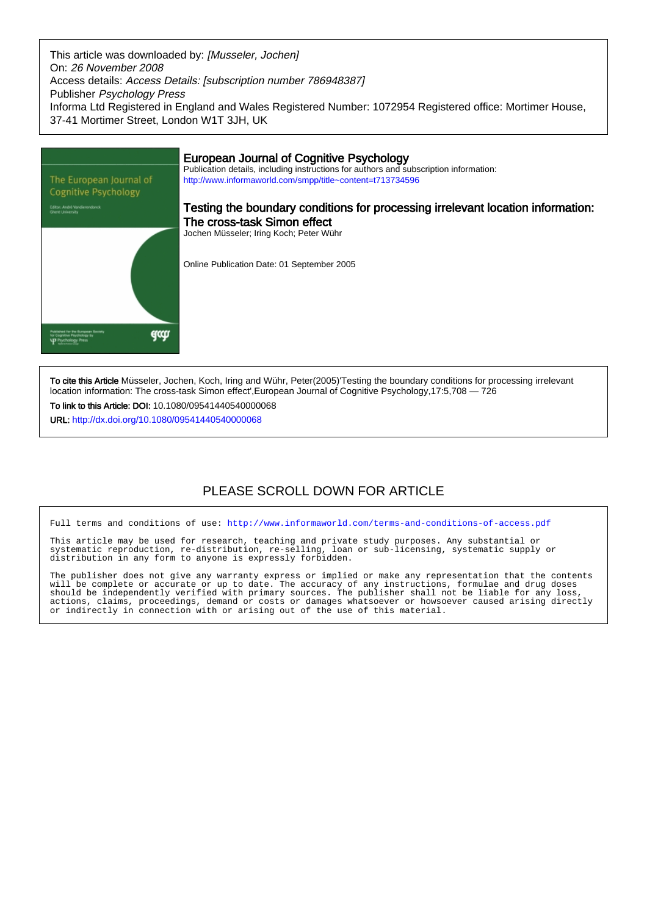This article was downloaded by: [Musseler, Jochen] On: 26 November 2008 Access details: Access Details: [subscription number 786948387] Publisher Psychology Press Informa Ltd Registered in England and Wales Registered Number: 1072954 Registered office: Mortimer House, 37-41 Mortimer Street, London W1T 3JH, UK



To cite this Article Müsseler, Jochen, Koch, Iring and Wühr, Peter(2005)'Testing the boundary conditions for processing irrelevant location information: The cross-task Simon effect',European Journal of Cognitive Psychology,17:5,708 — 726

To link to this Article: DOI: 10.1080/09541440540000068

URL: <http://dx.doi.org/10.1080/09541440540000068>

# PLEASE SCROLL DOWN FOR ARTICLE

Full terms and conditions of use:<http://www.informaworld.com/terms-and-conditions-of-access.pdf>

This article may be used for research, teaching and private study purposes. Any substantial or systematic reproduction, re-distribution, re-selling, loan or sub-licensing, systematic supply or distribution in any form to anyone is expressly forbidden.

The publisher does not give any warranty express or implied or make any representation that the contents will be complete or accurate or up to date. The accuracy of any instructions, formulae and drug doses should be independently verified with primary sources. The publisher shall not be liable for any loss, actions, claims, proceedings, demand or costs or damages whatsoever or howsoever caused arising directly or indirectly in connection with or arising out of the use of this material.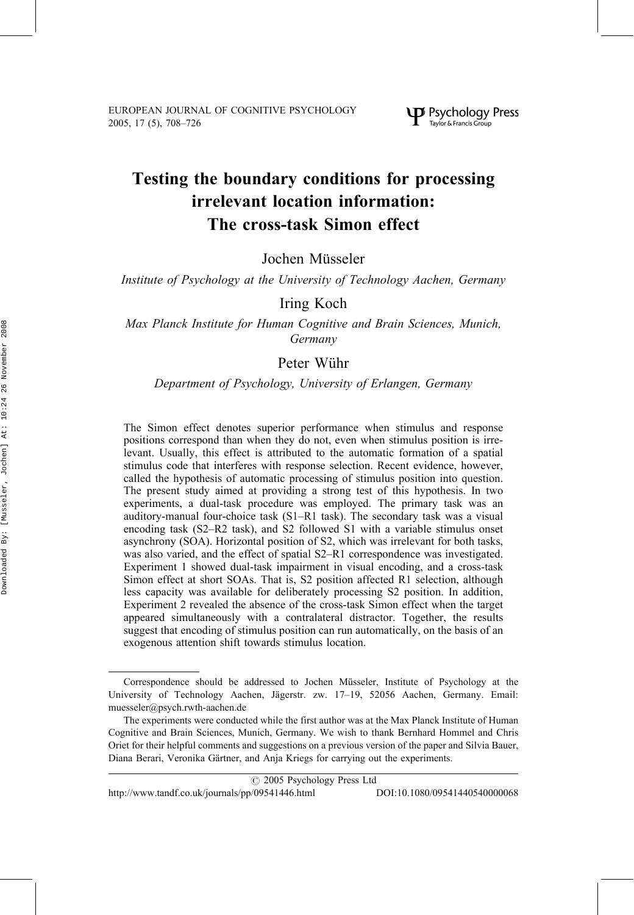#### **ID** Psychology Press Taylor & Francis Group

# Testing the boundary conditions for processing irrelevant location information: The cross-task Simon effect

Jochen Müsseler

Institute of Psychology at the University of Technology Aachen, Germany

Iring Koch

Max Planck Institute for Human Cognitive and Brain Sciences, Munich, Germany

#### Peter Wühr

Department of Psychology, University of Erlangen, Germany

The Simon effect denotes superior performance when stimulus and response positions correspond than when they do not, even when stimulus position is irrelevant. Usually, this effect is attributed to the automatic formation of a spatial stimulus code that interferes with response selection. Recent evidence, however, called the hypothesis of automatic processing of stimulus position into question. The present study aimed at providing a strong test of this hypothesis. In two experiments, a dual-task procedure was employed. The primary task was an auditory-manual four-choice task (S1-R1 task). The secondary task was a visual encoding task  $(S2-R2$  task), and S2 followed S1 with a variable stimulus onset asynchrony (SOA). Horizontal position of S2, which was irrelevant for both tasks, was also varied, and the effect of spatial S2–R1 correspondence was investigated. Experiment 1 showed dual-task impairment in visual encoding, and a cross-task Simon effect at short SOAs. That is, S2 position affected R1 selection, although less capacity was available for deliberately processing S2 position. In addition, Experiment 2 revealed the absence of the cross-task Simon effect when the target appeared simultaneously with a contralateral distractor. Together, the results suggest that encoding of stimulus position can run automatically, on the basis of an exogenous attention shift towards stimulus location.

http://www.tandf.co.uk/journals/pp/09541446.html DOI:10.1080/09541440540000068

Correspondence should be addressed to Jochen Müsseler, Institute of Psychology at the University of Technology Aachen, Jägerstr. zw. 17-19, 52056 Aachen, Germany. Email: muesseler@psych.rwth-aachen.de

The experiments were conducted while the first author was at the Max Planck Institute of Human Cognitive and Brain Sciences, Munich, Germany. We wish to thank Bernhard Hommel and Chris Oriet for their helpful comments and suggestions on a previous version of the paper and Silvia Bauer, Diana Berari, Veronika Gärtner, and Anja Kriegs for carrying out the experiments.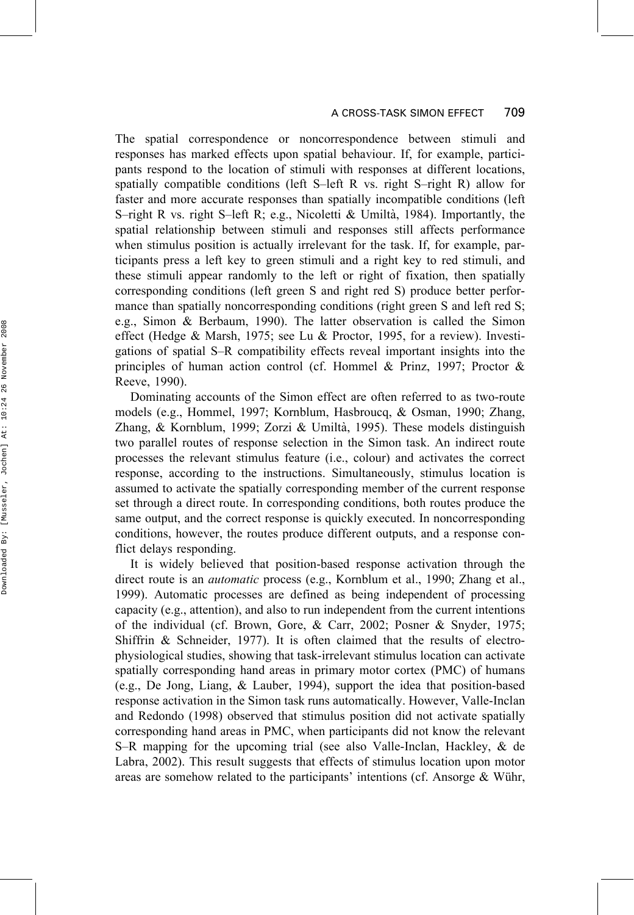#### A CROSS-TASK SIMON EFFECT 709

The spatial correspondence or noncorrespondence between stimuli and responses has marked effects upon spatial behaviour. If, for example, participants respond to the location of stimuli with responses at different locations, spatially compatible conditions (left  $S$ -left R vs. right  $S$ -right R) allow for faster and more accurate responses than spatially incompatible conditions (left S-right R vs. right S-left R; e.g., Nicoletti & Umiltà, 1984). Importantly, the spatial relationship between stimuli and responses still affects performance when stimulus position is actually irrelevant for the task. If, for example, participants press a left key to green stimuli and a right key to red stimuli, and these stimuli appear randomly to the left or right of fixation, then spatially corresponding conditions (left green S and right red S) produce better performance than spatially noncorresponding conditions (right green S and left red S; e.g., Simon & Berbaum, 1990). The latter observation is called the Simon effect (Hedge & Marsh, 1975; see Lu & Proctor, 1995, for a review). Investigations of spatial S-R compatibility effects reveal important insights into the principles of human action control (cf. Hommel & Prinz, 1997; Proctor & Reeve, 1990).

Dominating accounts of the Simon effect are often referred to as two-route models (e.g., Hommel, 1997; Kornblum, Hasbroucq, & Osman, 1990; Zhang, Zhang, & Kornblum, 1999; Zorzi & Umiltà, 1995). These models distinguish two parallel routes of response selection in the Simon task. An indirect route processes the relevant stimulus feature (i.e., colour) and activates the correct response, according to the instructions. Simultaneously, stimulus location is assumed to activate the spatially corresponding member of the current response set through a direct route. In corresponding conditions, both routes produce the same output, and the correct response is quickly executed. In noncorresponding conditions, however, the routes produce different outputs, and a response conflict delays responding.

It is widely believed that position-based response activation through the direct route is an automatic process (e.g., Kornblum et al., 1990; Zhang et al., 1999). Automatic processes are defined as being independent of processing capacity (e.g., attention), and also to run independent from the current intentions of the individual (cf. Brown, Gore, & Carr, 2002; Posner & Snyder, 1975; Shiffrin & Schneider, 1977). It is often claimed that the results of electrophysiological studies, showing that task-irrelevant stimulus location can activate spatially corresponding hand areas in primary motor cortex (PMC) of humans (e.g., De Jong, Liang, & Lauber, 1994), support the idea that position-based response activation in the Simon task runs automatically. However, Valle-Inclan and Redondo (1998) observed that stimulus position did not activate spatially corresponding hand areas in PMC, when participants did not know the relevant S-R mapping for the upcoming trial (see also Valle-Inclan, Hackley,  $\&$  de Labra, 2002). This result suggests that effects of stimulus location upon motor areas are somehow related to the participants' intentions (cf. Ansorge  $\&$  Wühr,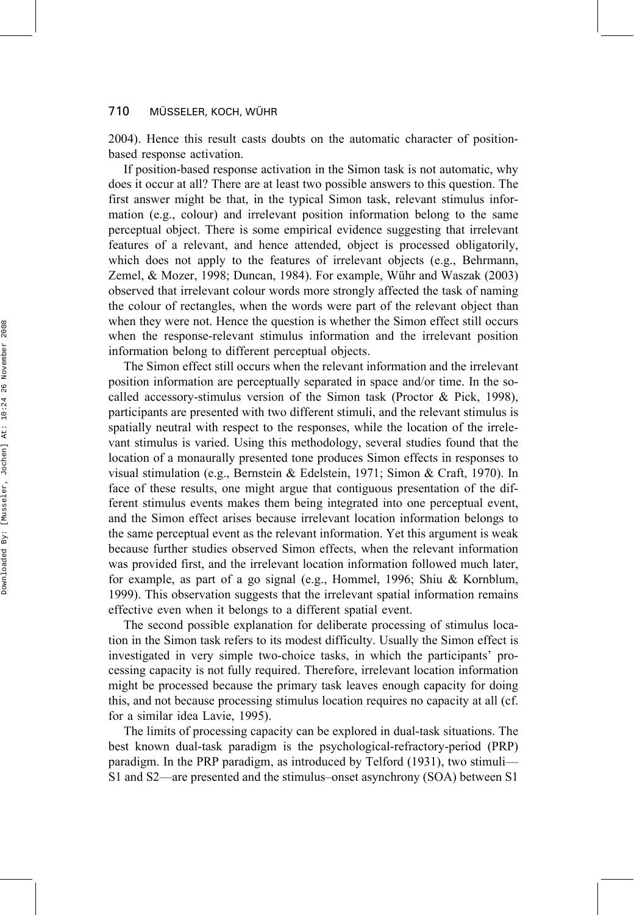2004). Hence this result casts doubts on the automatic character of positionbased response activation.

If position-based response activation in the Simon task is not automatic, why does it occur at all? There are at least two possible answers to this question. The first answer might be that, in the typical Simon task, relevant stimulus information (e.g., colour) and irrelevant position information belong to the same perceptual object. There is some empirical evidence suggesting that irrelevant features of a relevant, and hence attended, object is processed obligatorily, which does not apply to the features of irrelevant objects (e.g., Behrmann, Zemel, & Mozer, 1998; Duncan, 1984). For example, Wühr and Waszak (2003) observed that irrelevant colour words more strongly affected the task of naming the colour of rectangles, when the words were part of the relevant object than when they were not. Hence the question is whether the Simon effect still occurs when the response-relevant stimulus information and the irrelevant position information belong to different perceptual objects.

The Simon effect still occurs when the relevant information and the irrelevant position information are perceptually separated in space and/or time. In the socalled accessory-stimulus version of the Simon task (Proctor & Pick, 1998), participants are presented with two different stimuli, and the relevant stimulus is spatially neutral with respect to the responses, while the location of the irrelevant stimulus is varied. Using this methodology, several studies found that the location of a monaurally presented tone produces Simon effects in responses to visual stimulation (e.g., Bernstein & Edelstein, 1971; Simon & Craft, 1970). In face of these results, one might argue that contiguous presentation of the different stimulus events makes them being integrated into one perceptual event, and the Simon effect arises because irrelevant location information belongs to the same perceptual event as the relevant information. Yet this argument is weak because further studies observed Simon effects, when the relevant information was provided first, and the irrelevant location information followed much later, for example, as part of a go signal (e.g., Hommel, 1996; Shiu & Kornblum, 1999). This observation suggests that the irrelevant spatial information remains effective even when it belongs to a different spatial event.

The second possible explanation for deliberate processing of stimulus location in the Simon task refers to its modest difficulty. Usually the Simon effect is investigated in very simple two-choice tasks, in which the participants' processing capacity is not fully required. Therefore, irrelevant location information might be processed because the primary task leaves enough capacity for doing this, and not because processing stimulus location requires no capacity at all (cf. for a similar idea Lavie, 1995).

The limits of processing capacity can be explored in dual-task situations. The best known dual-task paradigm is the psychological-refractory-period (PRP) paradigm. In the PRP paradigm, as introduced by Telford (1931), two stimuli– S1 and S2—are presented and the stimulus-onset asynchrony (SOA) between S1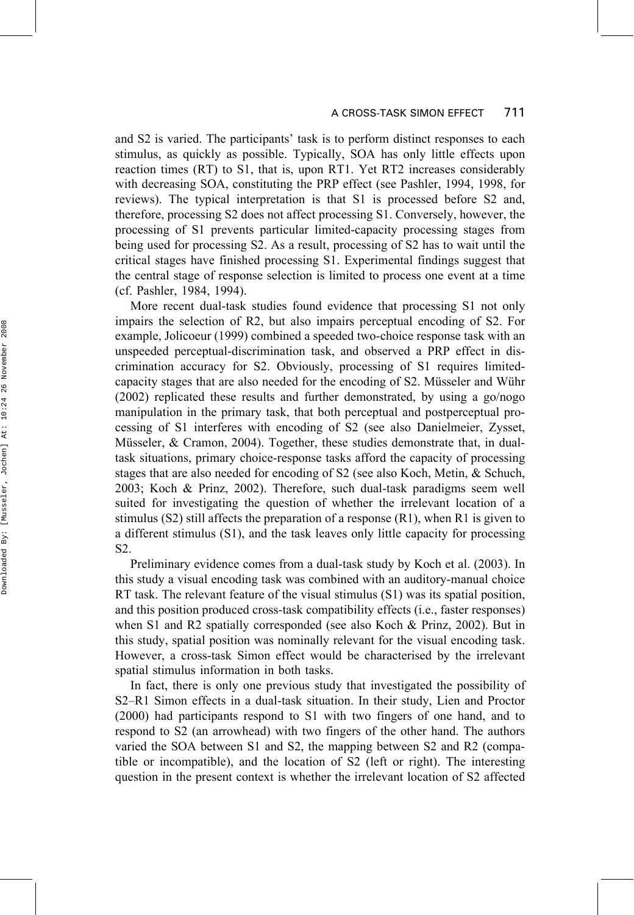#### A CROSS-TASK SIMON EFFECT 711

and S2 is varied. The participants' task is to perform distinct responses to each stimulus, as quickly as possible. Typically, SOA has only little effects upon reaction times (RT) to S1, that is, upon RT1. Yet RT2 increases considerably with decreasing SOA, constituting the PRP effect (see Pashler, 1994, 1998, for reviews). The typical interpretation is that S1 is processed before S2 and, therefore, processing S2 does not affect processing S1. Conversely, however, the processing of S1 prevents particular limited-capacity processing stages from being used for processing S2. As a result, processing of S2 has to wait until the critical stages have finished processing S1. Experimental findings suggest that the central stage of response selection is limited to process one event at a time (cf. Pashler, 1984, 1994).

More recent dual-task studies found evidence that processing S1 not only impairs the selection of R2, but also impairs perceptual encoding of S2. For example, Jolicoeur (1999) combined a speeded two-choice response task with an unspeeded perceptual-discrimination task, and observed a PRP effect in discrimination accuracy for S2. Obviously, processing of S1 requires limitedcapacity stages that are also needed for the encoding of S2. Müsseler and Wühr (2002) replicated these results and further demonstrated, by using a go/nogo manipulation in the primary task, that both perceptual and postperceptual processing of S1 interferes with encoding of S2 (see also Danielmeier, Zysset, Müsseler,  $\&$  Cramon, 2004). Together, these studies demonstrate that, in dualtask situations, primary choice-response tasks afford the capacity of processing stages that are also needed for encoding of S2 (see also Koch, Metin, & Schuch, 2003; Koch & Prinz, 2002). Therefore, such dual-task paradigms seem well suited for investigating the question of whether the irrelevant location of a stimulus (S2) still affects the preparation of a response  $(R1)$ , when R1 is given to a different stimulus (S1), and the task leaves only little capacity for processing S2.

Preliminary evidence comes from a dual-task study by Koch et al. (2003). In this study a visual encoding task was combined with an auditory-manual choice RT task. The relevant feature of the visual stimulus (S1) was its spatial position, and this position produced cross-task compatibility effects (i.e., faster responses) when S1 and R2 spatially corresponded (see also Koch & Prinz, 2002). But in this study, spatial position was nominally relevant for the visual encoding task. However, a cross-task Simon effect would be characterised by the irrelevant spatial stimulus information in both tasks.

In fact, there is only one previous study that investigated the possibility of S2–R1 Simon effects in a dual-task situation. In their study, Lien and Proctor (2000) had participants respond to S1 with two fingers of one hand, and to respond to S2 (an arrowhead) with two fingers of the other hand. The authors varied the SOA between S1 and S2, the mapping between S2 and R2 (compatible or incompatible), and the location of S2 (left or right). The interesting question in the present context is whether the irrelevant location of S2 affected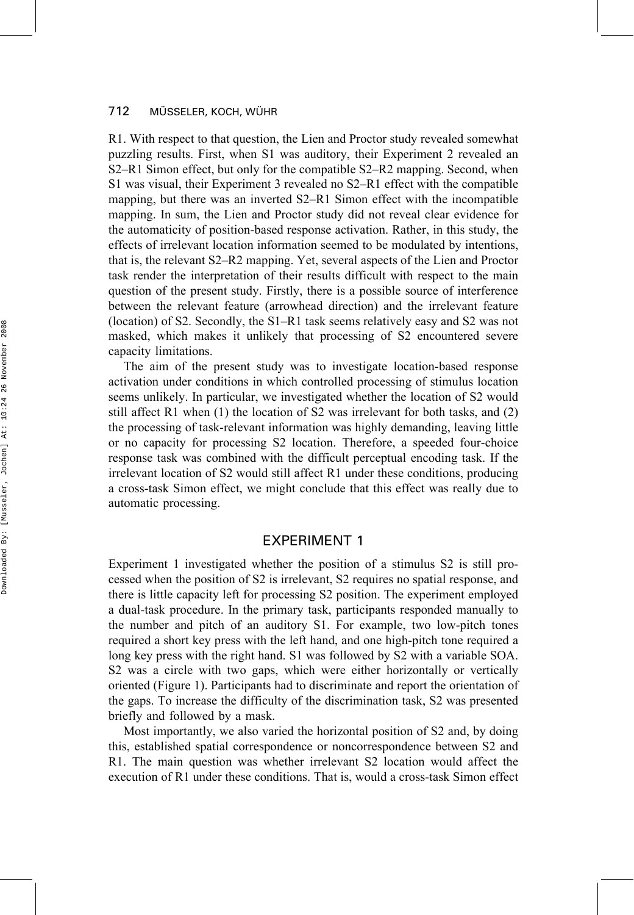R1. With respect to that question, the Lien and Proctor study revealed somewhat puzzling results. First, when S1 was auditory, their Experiment 2 revealed an S2-R1 Simon effect, but only for the compatible S2-R2 mapping. Second, when S1 was visual, their Experiment 3 revealed no  $S2-R1$  effect with the compatible mapping, but there was an inverted S2-R1 Simon effect with the incompatible mapping. In sum, the Lien and Proctor study did not reveal clear evidence for the automaticity of position-based response activation. Rather, in this study, the effects of irrelevant location information seemed to be modulated by intentions, that is, the relevant S2–R2 mapping. Yet, several aspects of the Lien and Proctor task render the interpretation of their results difficult with respect to the main question of the present study. Firstly, there is a possible source of interference between the relevant feature (arrowhead direction) and the irrelevant feature (location) of S2. Secondly, the S1–R1 task seems relatively easy and S2 was not masked, which makes it unlikely that processing of S2 encountered severe capacity limitations.

The aim of the present study was to investigate location-based response activation under conditions in which controlled processing of stimulus location seems unlikely. In particular, we investigated whether the location of S2 would still affect R1 when (1) the location of S2 was irrelevant for both tasks, and (2) the processing of task-relevant information was highly demanding, leaving little or no capacity for processing S2 location. Therefore, a speeded four-choice response task was combined with the difficult perceptual encoding task. If the irrelevant location of S2 would still affect R1 under these conditions, producing a cross-task Simon effect, we might conclude that this effect was really due to automatic processing.

# EXPERIMENT 1

Experiment 1 investigated whether the position of a stimulus S2 is still processed when the position of S2 is irrelevant, S2 requires no spatial response, and there is little capacity left for processing S2 position. The experiment employed a dual-task procedure. In the primary task, participants responded manually to the number and pitch of an auditory S1. For example, two low-pitch tones required a short key press with the left hand, and one high-pitch tone required a long key press with the right hand. S1 was followed by S2 with a variable SOA. S2 was a circle with two gaps, which were either horizontally or vertically oriented (Figure 1). Participants had to discriminate and report the orientation of the gaps. To increase the difficulty of the discrimination task, S2 was presented briefly and followed by a mask.

Most importantly, we also varied the horizontal position of S2 and, by doing this, established spatial correspondence or noncorrespondence between S2 and R1. The main question was whether irrelevant S2 location would affect the execution of R1 under these conditions. That is, would a cross-task Simon effect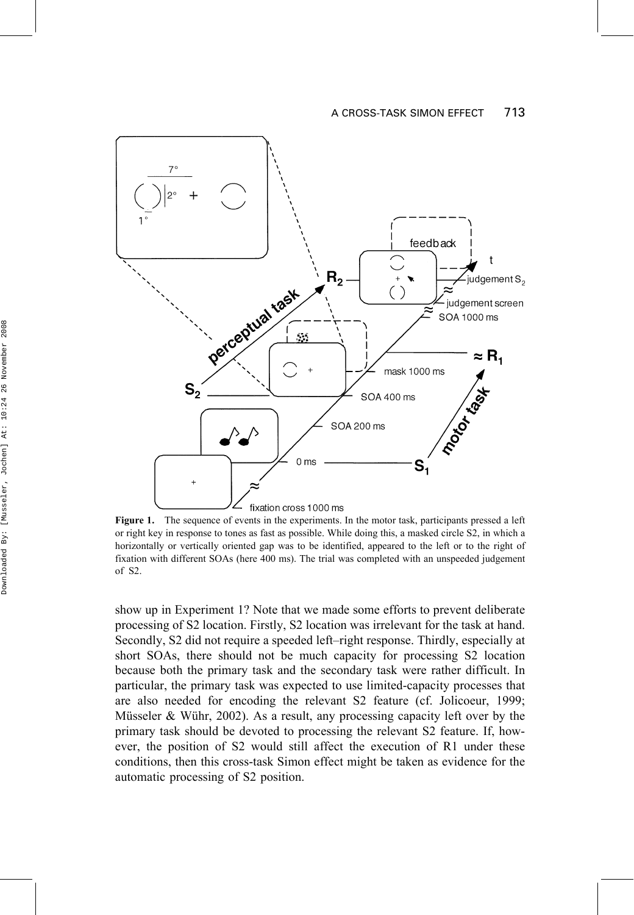

Figure 1. The sequence of events in the experiments. In the motor task, participants pressed a left or right key in response to tones as fast as possible. While doing this, a masked circle S2, in which a horizontally or vertically oriented gap was to be identified, appeared to the left or to the right of fixation with different SOAs (here 400 ms). The trial was completed with an unspeeded judgement of S2.

show up in Experiment 1? Note that we made some efforts to prevent deliberate processing of S2 location. Firstly, S2 location was irrelevant for the task at hand. Secondly, S2 did not require a speeded left-right response. Thirdly, especially at short SOAs, there should not be much capacity for processing S2 location because both the primary task and the secondary task were rather difficult. In particular, the primary task was expected to use limited-capacity processes that are also needed for encoding the relevant S2 feature (cf. Jolicoeur, 1999; Müsseler & Wühr, 2002). As a result, any processing capacity left over by the primary task should be devoted to processing the relevant S2 feature. If, however, the position of S2 would still affect the execution of R1 under these conditions, then this cross-task Simon effect might be taken as evidence for the automatic processing of S2 position.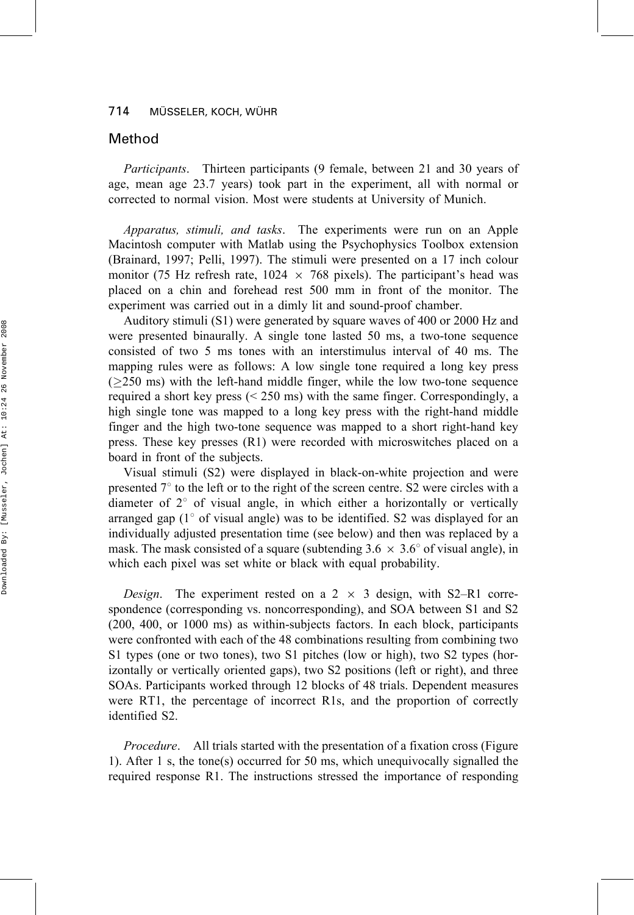#### Method

Participants. Thirteen participants (9 female, between 21 and 30 years of age, mean age 23.7 years) took part in the experiment, all with normal or corrected to normal vision. Most were students at University of Munich.

Apparatus, stimuli, and tasks. The experiments were run on an Apple Macintosh computer with Matlab using the Psychophysics Toolbox extension (Brainard, 1997; Pelli, 1997). The stimuli were presented on a 17 inch colour monitor (75 Hz refresh rate,  $1024 \times 768$  pixels). The participant's head was placed on a chin and forehead rest 500 mm in front of the monitor. The experiment was carried out in a dimly lit and sound-proof chamber.

Auditory stimuli (S1) were generated by square waves of 400 or 2000 Hz and were presented binaurally. A single tone lasted 50 ms, a two-tone sequence consisted of two 5 ms tones with an interstimulus interval of 40 ms. The mapping rules were as follows: A low single tone required a long key press  $(\geq 250 \text{ ms})$  with the left-hand middle finger, while the low two-tone sequence required a short key press (< 250 ms) with the same finger. Correspondingly, a high single tone was mapped to a long key press with the right-hand middle finger and the high two-tone sequence was mapped to a short right-hand key press. These key presses (R1) were recorded with microswitches placed on a board in front of the subjects.

Visual stimuli (S2) were displayed in black-on-white projection and were presented  $7^\circ$  to the left or to the right of the screen centre. S2 were circles with a diameter of  $2^{\circ}$  of visual angle, in which either a horizontally or vertically arranged gap  $(1^{\circ}$  of visual angle) was to be identified. S2 was displayed for an individually adjusted presentation time (see below) and then was replaced by a mask. The mask consisted of a square (subtending  $3.6 \times 3.6^{\circ}$  of visual angle), in which each pixel was set white or black with equal probability.

*Design.* The experiment rested on a 2  $\times$  3 design, with S2–R1 correspondence (corresponding vs. noncorresponding), and SOA between S1 and S2 (200, 400, or 1000 ms) as within-subjects factors. In each block, participants were confronted with each of the 48 combinations resulting from combining two S1 types (one or two tones), two S1 pitches (low or high), two S2 types (horizontally or vertically oriented gaps), two S2 positions (left or right), and three SOAs. Participants worked through 12 blocks of 48 trials. Dependent measures were RT1, the percentage of incorrect R1s, and the proportion of correctly identified S2.

Procedure. All trials started with the presentation of a fixation cross (Figure 1). After 1 s, the tone(s) occurred for 50 ms, which unequivocally signalled the required response R1. The instructions stressed the importance of responding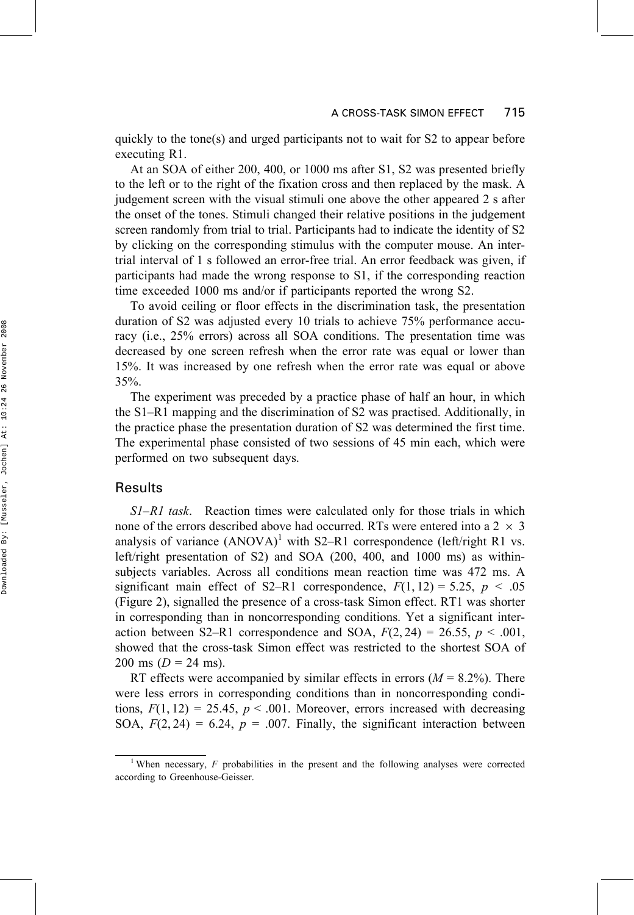quickly to the tone(s) and urged participants not to wait for S2 to appear before executing R1.

At an SOA of either 200, 400, or 1000 ms after S1, S2 was presented briefly to the left or to the right of the fixation cross and then replaced by the mask. A judgement screen with the visual stimuli one above the other appeared 2 s after the onset of the tones. Stimuli changed their relative positions in the judgement screen randomly from trial to trial. Participants had to indicate the identity of S2 by clicking on the corresponding stimulus with the computer mouse. An intertrial interval of 1 s followed an error-free trial. An error feedback was given, if participants had made the wrong response to S1, if the corresponding reaction time exceeded 1000 ms and/or if participants reported the wrong S2.

To avoid ceiling or floor effects in the discrimination task, the presentation duration of S2 was adjusted every 10 trials to achieve 75% performance accuracy (i.e., 25% errors) across all SOA conditions. The presentation time was decreased by one screen refresh when the error rate was equal or lower than 15%. It was increased by one refresh when the error rate was equal or above 35%.

The experiment was preceded by a practice phase of half an hour, in which the S1–R1 mapping and the discrimination of S2 was practised. Additionally, in the practice phase the presentation duration of S2 was determined the first time. The experimental phase consisted of two sessions of 45 min each, which were performed on two subsequent days.

#### Results

 $S1-R1$  task. Reaction times were calculated only for those trials in which none of the errors described above had occurred. RTs were entered into a  $2 \times 3$ analysis of variance  $(ANOVA)^1$  with S2–R1 correspondence (left/right R1 vs. left/right presentation of S2) and SOA (200, 400, and 1000 ms) as withinsubjects variables. Across all conditions mean reaction time was 472 ms. A significant main effect of S2-R1 correspondence,  $F(1, 12) = 5.25$ ,  $p < .05$ (Figure 2), signalled the presence of a cross-task Simon effect. RT1 was shorter in corresponding than in noncorresponding conditions. Yet a significant interaction between S2–R1 correspondence and SOA,  $F(2, 24) = 26.55$ ,  $p < .001$ , showed that the cross-task Simon effect was restricted to the shortest SOA of 200 ms  $(D = 24 \text{ ms})$ .

RT effects were accompanied by similar effects in errors  $(M = 8.2\%)$ . There were less errors in corresponding conditions than in noncorresponding conditions,  $F(1, 12) = 25.45$ ,  $p < .001$ . Moreover, errors increased with decreasing SOA,  $F(2, 24) = 6.24$ ,  $p = .007$ . Finally, the significant interaction between

<sup>&</sup>lt;sup>1</sup> When necessary,  $F$  probabilities in the present and the following analyses were corrected according to Greenhouse-Geisser.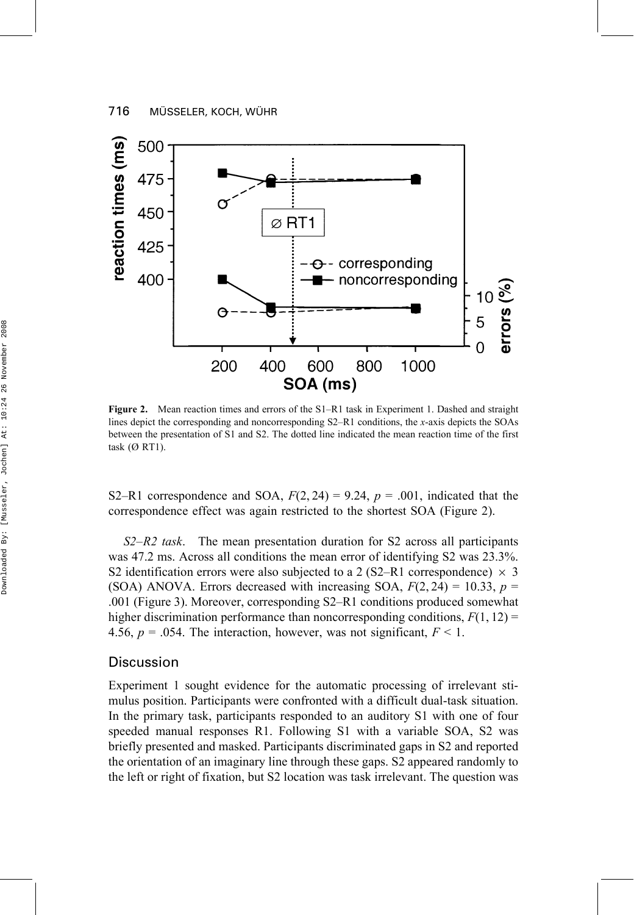

Figure 2. Mean reaction times and errors of the S1-R1 task in Experiment 1. Dashed and straight lines depict the corresponding and noncorresponding S2-R1 conditions, the x-axis depicts the SOAs between the presentation of S1 and S2. The dotted line indicated the mean reaction time of the first task  $(\emptyset$  RT1).

S2-R1 correspondence and SOA,  $F(2, 24) = 9.24$ ,  $p = .001$ , indicated that the correspondence effect was again restricted to the shortest SOA (Figure 2).

 $S2-R2$  task. The mean presentation duration for S2 across all participants was 47.2 ms. Across all conditions the mean error of identifying S2 was 23.3%. S2 identification errors were also subjected to a 2 (S2–R1 correspondence)  $\times$  3 (SOA) ANOVA. Errors decreased with increasing SOA,  $F(2, 24) = 10.33$ ,  $p =$ .001 (Figure 3). Moreover, corresponding S2–R1 conditions produced somewhat higher discrimination performance than noncorresponding conditions,  $F(1, 12)$  = 4.56,  $p = .054$ . The interaction, however, was not significant,  $F \le 1$ .

#### Discussion

Experiment 1 sought evidence for the automatic processing of irrelevant stimulus position. Participants were confronted with a difficult dual-task situation. In the primary task, participants responded to an auditory S1 with one of four speeded manual responses R1. Following S1 with a variable SOA, S2 was briefly presented and masked. Participants discriminated gaps in S2 and reported the orientation of an imaginary line through these gaps. S2 appeared randomly to the left or right of fixation, but S2 location was task irrelevant. The question was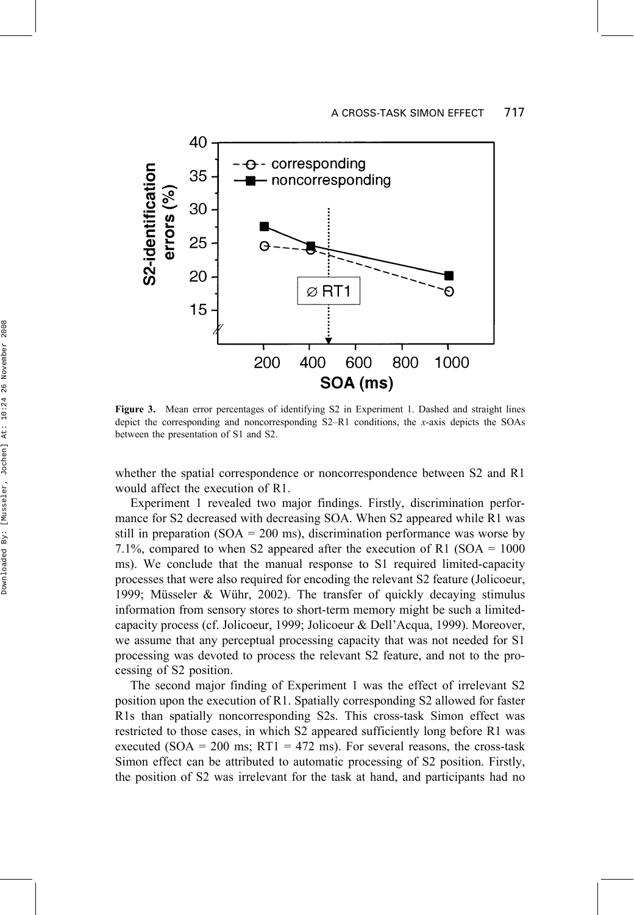

Figure 3. Mean error percentages of identifying S2 in Experiment 1. Dashed and straight lines depict the corresponding and noncorresponding  $S2-R1$  conditions, the x-axis depicts the SOAs between the presentation of S1 and S2.

whether the spatial correspondence or noncorrespondence between S2 and R1 would affect the execution of R1.

Experiment 1 revealed two major findings. Firstly, discrimination performance for S2 decreased with decreasing SOA. When S2 appeared while R1 was still in preparation ( $SOA = 200$  ms), discrimination performance was worse by 7.1%, compared to when S2 appeared after the execution of R1 (SOA =  $1000$ ) ms). We conclude that the manual response to S1 required limited-capacity processes that were also required for encoding the relevant S2 feature (Jolicoeur, 1999; Müsseler & Wühr, 2002). The transfer of quickly decaying stimulus information from sensory stores to short-term memory might be such a limitedcapacity process (cf. Jolicoeur, 1999; Jolicoeur & Dell'Acqua, 1999). Moreover, we assume that any perceptual processing capacity that was not needed for S1 processing was devoted to process the relevant S2 feature, and not to the processing of S2 position.

The second major finding of Experiment 1 was the effect of irrelevant S2 position upon the execution of R1. Spatially corresponding S2 allowed for faster R1s than spatially noncorresponding S2s. This cross-task Simon effect was restricted to those cases, in which S2 appeared sufficiently long before R1 was executed (SOA = 200 ms;  $RT1 = 472$  ms). For several reasons, the cross-task Simon effect can be attributed to automatic processing of S2 position. Firstly, the position of S2 was irrelevant for the task at hand, and participants had no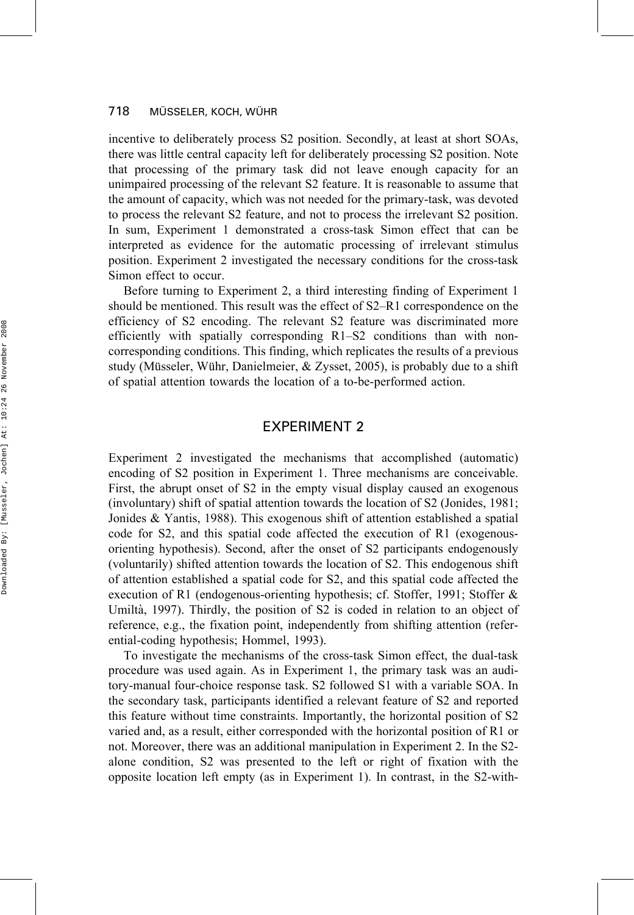incentive to deliberately process S2 position. Secondly, at least at short SOAs, there was little central capacity left for deliberately processing S2 position. Note that processing of the primary task did not leave enough capacity for an unimpaired processing of the relevant S2 feature. It is reasonable to assume that the amount of capacity, which was not needed for the primary-task, was devoted to process the relevant S2 feature, and not to process the irrelevant S2 position. In sum, Experiment 1 demonstrated a cross-task Simon effect that can be interpreted as evidence for the automatic processing of irrelevant stimulus position. Experiment 2 investigated the necessary conditions for the cross-task Simon effect to occur.

Before turning to Experiment 2, a third interesting finding of Experiment 1 should be mentioned. This result was the effect of S2–R1 correspondence on the efficiency of S2 encoding. The relevant S2 feature was discriminated more efficiently with spatially corresponding  $R1-S2$  conditions than with noncorresponding conditions. This finding, which replicates the results of a previous study (Müsseler, Wühr, Danielmeier, & Zysset, 2005), is probably due to a shift of spatial attention towards the location of a to-be-performed action.

# EXPERIMENT 2

Experiment 2 investigated the mechanisms that accomplished (automatic) encoding of S2 position in Experiment 1. Three mechanisms are conceivable. First, the abrupt onset of S2 in the empty visual display caused an exogenous (involuntary) shift of spatial attention towards the location of S2 (Jonides, 1981; Jonides & Yantis, 1988). This exogenous shift of attention established a spatial code for S2, and this spatial code affected the execution of R1 (exogenousorienting hypothesis). Second, after the onset of S2 participants endogenously (voluntarily) shifted attention towards the location of S2. This endogenous shift of attention established a spatial code for S2, and this spatial code affected the execution of R1 (endogenous-orienting hypothesis; cf. Stoffer, 1991; Stoffer & Umiltà, 1997). Thirdly, the position of S2 is coded in relation to an object of reference, e.g., the fixation point, independently from shifting attention (referential-coding hypothesis; Hommel, 1993).

To investigate the mechanisms of the cross-task Simon effect, the dual-task procedure was used again. As in Experiment 1, the primary task was an auditory-manual four-choice response task. S2 followed S1 with a variable SOA. In the secondary task, participants identified a relevant feature of S2 and reported this feature without time constraints. Importantly, the horizontal position of S2 varied and, as a result, either corresponded with the horizontal position of R1 or not. Moreover, there was an additional manipulation in Experiment 2. In the S2 alone condition, S2 was presented to the left or right of fixation with the opposite location left empty (as in Experiment 1). In contrast, in the S2-with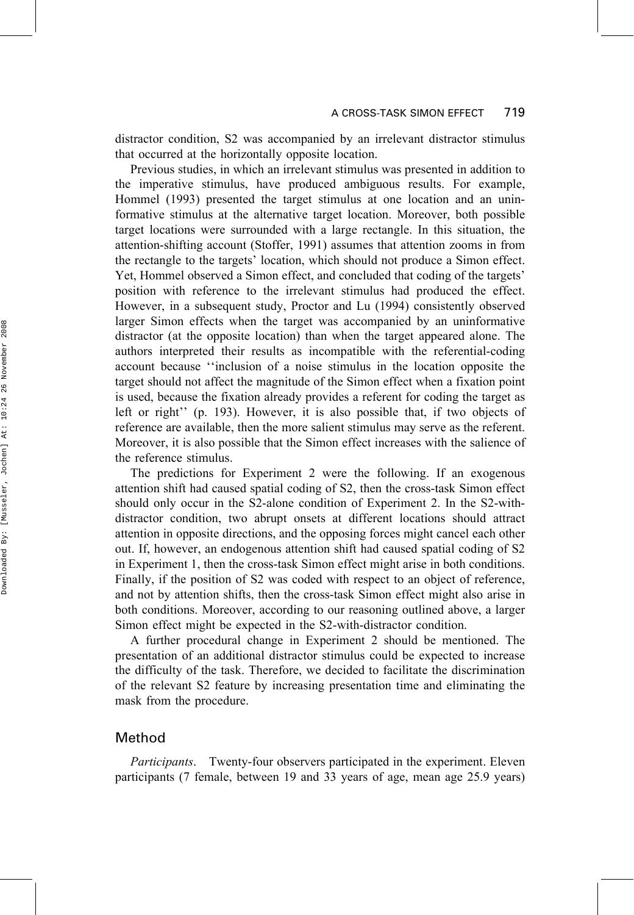distractor condition, S2 was accompanied by an irrelevant distractor stimulus that occurred at the horizontally opposite location.

Previous studies, in which an irrelevant stimulus was presented in addition to the imperative stimulus, have produced ambiguous results. For example, Hommel (1993) presented the target stimulus at one location and an uninformative stimulus at the alternative target location. Moreover, both possible target locations were surrounded with a large rectangle. In this situation, the attention-shifting account (Stoffer, 1991) assumes that attention zooms in from the rectangle to the targets' location, which should not produce a Simon effect. Yet, Hommel observed a Simon effect, and concluded that coding of the targets' position with reference to the irrelevant stimulus had produced the effect. However, in a subsequent study, Proctor and Lu (1994) consistently observed larger Simon effects when the target was accompanied by an uninformative distractor (at the opposite location) than when the target appeared alone. The authors interpreted their results as incompatible with the referential-coding account because "inclusion of a noise stimulus in the location opposite the target should not affect the magnitude of the Simon effect when a fixation point is used, because the fixation already provides a referent for coding the target as left or right'' (p. 193). However, it is also possible that, if two objects of reference are available, then the more salient stimulus may serve as the referent. Moreover, it is also possible that the Simon effect increases with the salience of the reference stimulus.

The predictions for Experiment 2 were the following. If an exogenous attention shift had caused spatial coding of S2, then the cross-task Simon effect should only occur in the S2-alone condition of Experiment 2. In the S2-withdistractor condition, two abrupt onsets at different locations should attract attention in opposite directions, and the opposing forces might cancel each other out. If, however, an endogenous attention shift had caused spatial coding of S2 in Experiment 1, then the cross-task Simon effect might arise in both conditions. Finally, if the position of S2 was coded with respect to an object of reference, and not by attention shifts, then the cross-task Simon effect might also arise in both conditions. Moreover, according to our reasoning outlined above, a larger Simon effect might be expected in the S2-with-distractor condition.

A further procedural change in Experiment 2 should be mentioned. The presentation of an additional distractor stimulus could be expected to increase the difficulty of the task. Therefore, we decided to facilitate the discrimination of the relevant S2 feature by increasing presentation time and eliminating the mask from the procedure.

### Method

Participants. Twenty-four observers participated in the experiment. Eleven participants (7 female, between 19 and 33 years of age, mean age 25.9 years)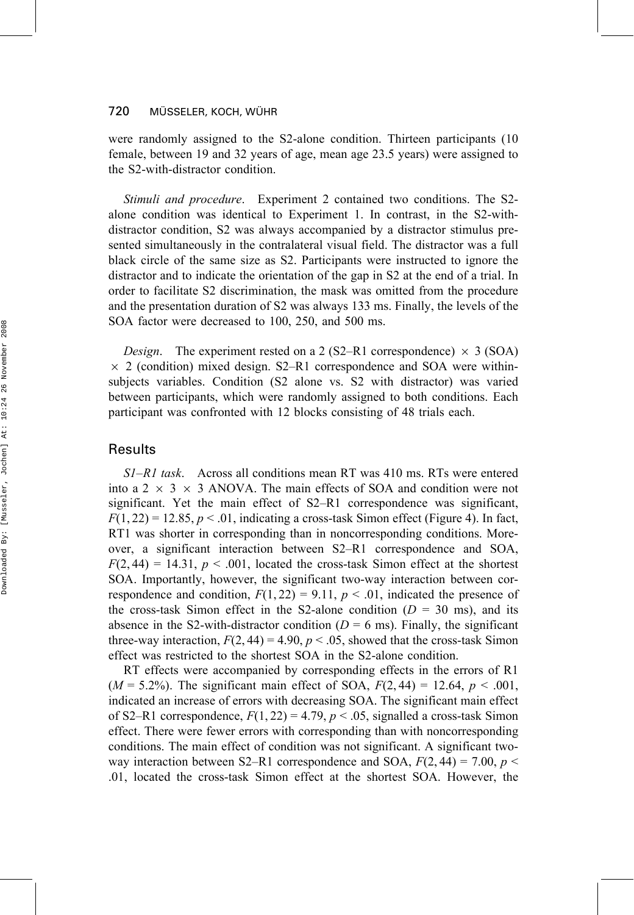were randomly assigned to the S2-alone condition. Thirteen participants (10 female, between 19 and 32 years of age, mean age 23.5 years) were assigned to the S2-with-distractor condition.

Stimuli and procedure. Experiment 2 contained two conditions. The S2 alone condition was identical to Experiment 1. In contrast, in the S2-withdistractor condition, S2 was always accompanied by a distractor stimulus presented simultaneously in the contralateral visual field. The distractor was a full black circle of the same size as S2. Participants were instructed to ignore the distractor and to indicate the orientation of the gap in S2 at the end of a trial. In order to facilitate S2 discrimination, the mask was omitted from the procedure and the presentation duration of S2 was always 133 ms. Finally, the levels of the SOA factor were decreased to 100, 250, and 500 ms.

*Design.* The experiment rested on a 2 (S2–R1 correspondence)  $\times$  3 (SOA)  $\times$  2 (condition) mixed design. S2–R1 correspondence and SOA were withinsubjects variables. Condition (S2 alone vs. S2 with distractor) was varied between participants, which were randomly assigned to both conditions. Each participant was confronted with 12 blocks consisting of 48 trials each.

#### Results

 $S1-R1$  task. Across all conditions mean RT was 410 ms. RTs were entered into a 2  $\times$  3  $\times$  3 ANOVA. The main effects of SOA and condition were not significant. Yet the main effect of  $S2-R1$  correspondence was significant,  $F(1, 22) = 12.85, p < .01$ , indicating a cross-task Simon effect (Figure 4). In fact, RT1 was shorter in corresponding than in noncorresponding conditions. Moreover, a significant interaction between S2–R1 correspondence and SOA,  $F(2, 44) = 14.31, p < .001$ , located the cross-task Simon effect at the shortest SOA. Importantly, however, the significant two-way interaction between correspondence and condition,  $F(1, 22) = 9.11$ ,  $p < .01$ , indicated the presence of the cross-task Simon effect in the S2-alone condition ( $D = 30$  ms), and its absence in the S2-with-distractor condition ( $D = 6$  ms). Finally, the significant three-way interaction,  $F(2, 44) = 4.90$ ,  $p < .05$ , showed that the cross-task Simon effect was restricted to the shortest SOA in the S2-alone condition.

RT effects were accompanied by corresponding effects in the errors of R1  $(M = 5.2\%)$ . The significant main effect of SOA,  $F(2, 44) = 12.64$ ,  $p < .001$ , indicated an increase of errors with decreasing SOA. The significant main effect of S2–R1 correspondence,  $F(1, 22) = 4.79$ ,  $p < .05$ , signalled a cross-task Simon effect. There were fewer errors with corresponding than with noncorresponding conditions. The main effect of condition was not significant. A significant twoway interaction between S2–R1 correspondence and SOA,  $F(2, 44) = 7.00$ ,  $p \le$ .01, located the cross-task Simon effect at the shortest SOA. However, the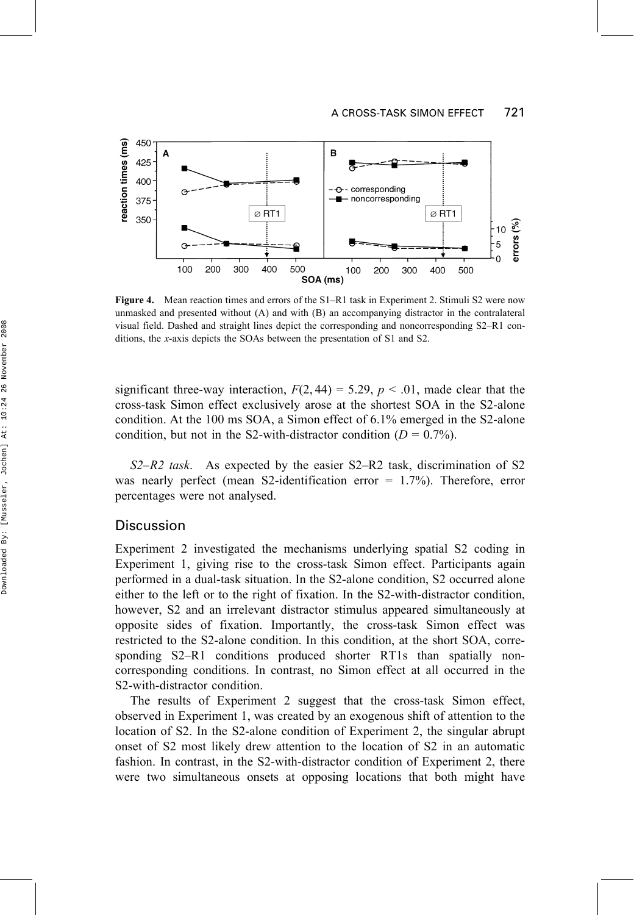

Figure 4. Mean reaction times and errors of the S1–R1 task in Experiment 2. Stimuli S2 were now unmasked and presented without (A) and with (B) an accompanying distractor in the contralateral visual field. Dashed and straight lines depict the corresponding and noncorresponding S2-R1 conditions, the x-axis depicts the SOAs between the presentation of S1 and S2.

significant three-way interaction,  $F(2, 44) = 5.29$ ,  $p < .01$ , made clear that the cross-task Simon effect exclusively arose at the shortest SOA in the S2-alone condition. At the 100 ms SOA, a Simon effect of 6.1% emerged in the S2-alone condition, but not in the S2-with-distractor condition  $(D = 0.7\%)$ .

 $S2-R2$  task. As expected by the easier S2–R2 task, discrimination of S2 was nearly perfect (mean S2-identification error  $= 1.7\%$ ). Therefore, error percentages were not analysed.

# Discussion

Experiment 2 investigated the mechanisms underlying spatial S2 coding in Experiment 1, giving rise to the cross-task Simon effect. Participants again performed in a dual-task situation. In the S2-alone condition, S2 occurred alone either to the left or to the right of fixation. In the S2-with-distractor condition, however, S2 and an irrelevant distractor stimulus appeared simultaneously at opposite sides of fixation. Importantly, the cross-task Simon effect was restricted to the S2-alone condition. In this condition, at the short SOA, corresponding S2–R1 conditions produced shorter RT1s than spatially noncorresponding conditions. In contrast, no Simon effect at all occurred in the S2-with-distractor condition.

The results of Experiment 2 suggest that the cross-task Simon effect, observed in Experiment 1, was created by an exogenous shift of attention to the location of S2. In the S2-alone condition of Experiment 2, the singular abrupt onset of S2 most likely drew attention to the location of S2 in an automatic fashion. In contrast, in the S2-with-distractor condition of Experiment 2, there were two simultaneous onsets at opposing locations that both might have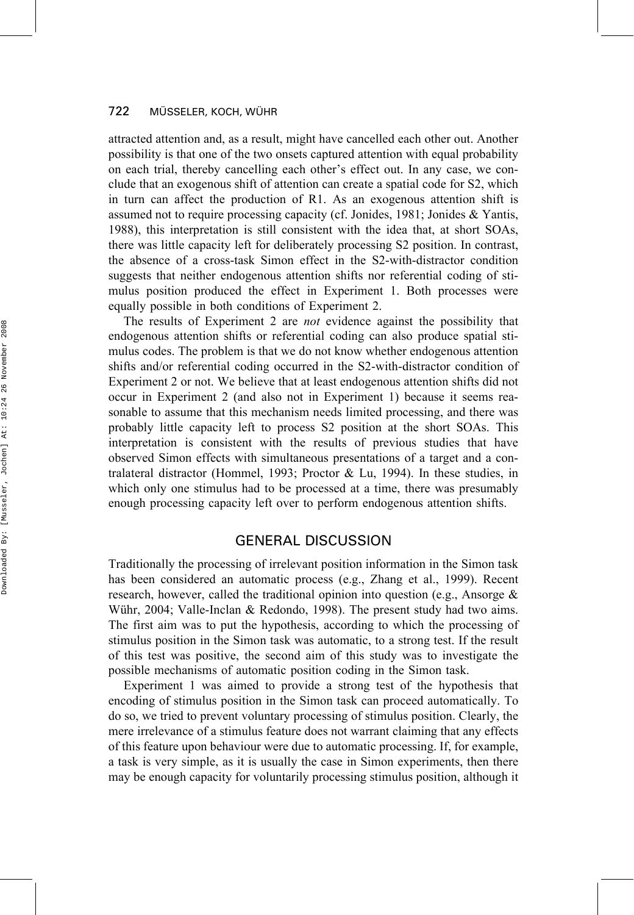attracted attention and, as a result, might have cancelled each other out. Another possibility is that one of the two onsets captured attention with equal probability on each trial, thereby cancelling each other's effect out. In any case, we conclude that an exogenous shift of attention can create a spatial code for S2, which in turn can affect the production of R1. As an exogenous attention shift is assumed not to require processing capacity (cf. Jonides, 1981; Jonides & Yantis, 1988), this interpretation is still consistent with the idea that, at short SOAs, there was little capacity left for deliberately processing S2 position. In contrast, the absence of a cross-task Simon effect in the S2-with-distractor condition suggests that neither endogenous attention shifts nor referential coding of stimulus position produced the effect in Experiment 1. Both processes were equally possible in both conditions of Experiment 2.

The results of Experiment 2 are not evidence against the possibility that endogenous attention shifts or referential coding can also produce spatial stimulus codes. The problem is that we do not know whether endogenous attention shifts and/or referential coding occurred in the S2-with-distractor condition of Experiment 2 or not. We believe that at least endogenous attention shifts did not occur in Experiment 2 (and also not in Experiment 1) because it seems reasonable to assume that this mechanism needs limited processing, and there was probably little capacity left to process S2 position at the short SOAs. This interpretation is consistent with the results of previous studies that have observed Simon effects with simultaneous presentations of a target and a contralateral distractor (Hommel, 1993; Proctor & Lu, 1994). In these studies, in which only one stimulus had to be processed at a time, there was presumably enough processing capacity left over to perform endogenous attention shifts.

# GENERAL DISCUSSION

Traditionally the processing of irrelevant position information in the Simon task has been considered an automatic process (e.g., Zhang et al., 1999). Recent research, however, called the traditional opinion into question (e.g., Ansorge & Wühr, 2004; Valle-Inclan & Redondo, 1998). The present study had two aims. The first aim was to put the hypothesis, according to which the processing of stimulus position in the Simon task was automatic, to a strong test. If the result of this test was positive, the second aim of this study was to investigate the possible mechanisms of automatic position coding in the Simon task.

Experiment 1 was aimed to provide a strong test of the hypothesis that encoding of stimulus position in the Simon task can proceed automatically. To do so, we tried to prevent voluntary processing of stimulus position. Clearly, the mere irrelevance of a stimulus feature does not warrant claiming that any effects of this feature upon behaviour were due to automatic processing. If, for example, a task is very simple, as it is usually the case in Simon experiments, then there may be enough capacity for voluntarily processing stimulus position, although it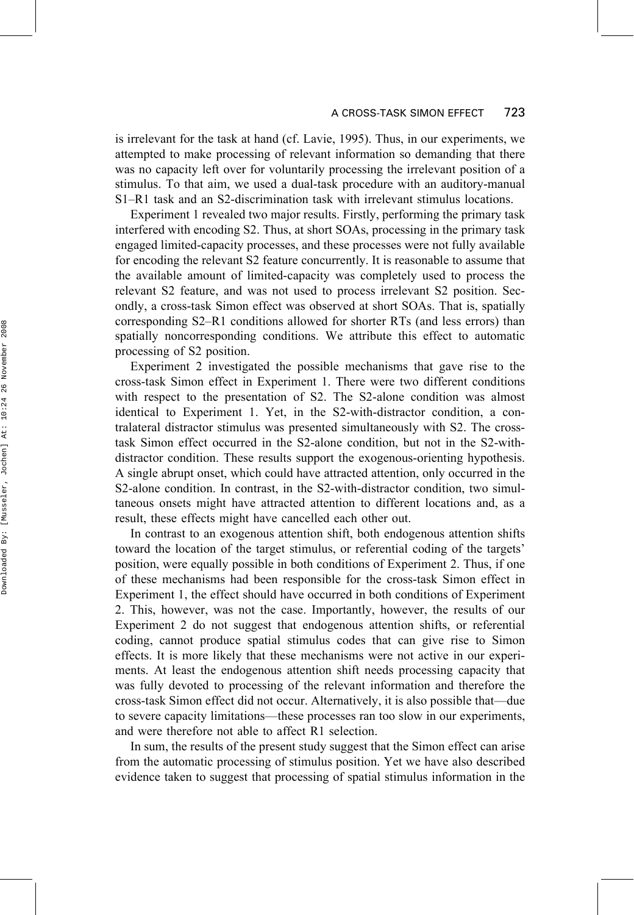#### A CROSS-TASK SIMON EFFECT 723

is irrelevant for the task at hand (cf. Lavie, 1995). Thus, in our experiments, we attempted to make processing of relevant information so demanding that there was no capacity left over for voluntarily processing the irrelevant position of a stimulus. To that aim, we used a dual-task procedure with an auditory-manual S1-R1 task and an S2-discrimination task with irrelevant stimulus locations.

Experiment 1 revealed two major results. Firstly, performing the primary task interfered with encoding S2. Thus, at short SOAs, processing in the primary task engaged limited-capacity processes, and these processes were not fully available for encoding the relevant S2 feature concurrently. It is reasonable to assume that the available amount of limited-capacity was completely used to process the relevant S2 feature, and was not used to process irrelevant S2 position. Secondly, a cross-task Simon effect was observed at short SOAs. That is, spatially corresponding S2–R1 conditions allowed for shorter RTs (and less errors) than spatially noncorresponding conditions. We attribute this effect to automatic processing of S2 position.

Experiment 2 investigated the possible mechanisms that gave rise to the cross-task Simon effect in Experiment 1. There were two different conditions with respect to the presentation of S2. The S2-alone condition was almost identical to Experiment 1. Yet, in the S2-with-distractor condition, a contralateral distractor stimulus was presented simultaneously with S2. The crosstask Simon effect occurred in the S2-alone condition, but not in the S2-withdistractor condition. These results support the exogenous-orienting hypothesis. A single abrupt onset, which could have attracted attention, only occurred in the S2-alone condition. In contrast, in the S2-with-distractor condition, two simultaneous onsets might have attracted attention to different locations and, as a result, these effects might have cancelled each other out.

In contrast to an exogenous attention shift, both endogenous attention shifts toward the location of the target stimulus, or referential coding of the targets' position, were equally possible in both conditions of Experiment 2. Thus, if one of these mechanisms had been responsible for the cross-task Simon effect in Experiment 1, the effect should have occurred in both conditions of Experiment 2. This, however, was not the case. Importantly, however, the results of our Experiment 2 do not suggest that endogenous attention shifts, or referential coding, cannot produce spatial stimulus codes that can give rise to Simon effects. It is more likely that these mechanisms were not active in our experiments. At least the endogenous attention shift needs processing capacity that was fully devoted to processing of the relevant information and therefore the cross-task Simon effect did not occur. Alternatively, it is also possible that—due to severe capacity limitations—these processes ran too slow in our experiments, and were therefore not able to affect R1 selection.

In sum, the results of the present study suggest that the Simon effect can arise from the automatic processing of stimulus position. Yet we have also described evidence taken to suggest that processing of spatial stimulus information in the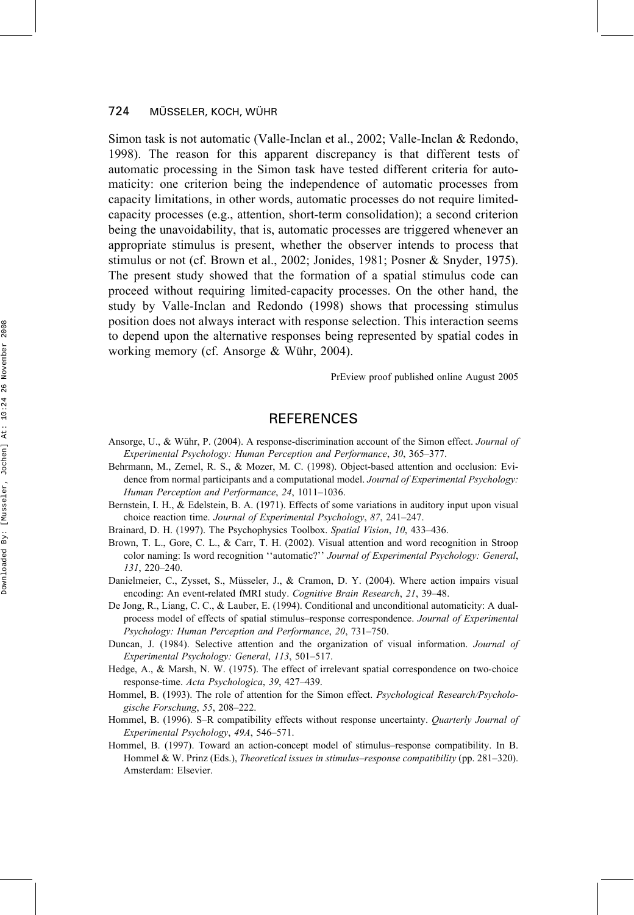Simon task is not automatic (Valle-Inclan et al., 2002; Valle-Inclan & Redondo, 1998). The reason for this apparent discrepancy is that different tests of automatic processing in the Simon task have tested different criteria for automaticity: one criterion being the independence of automatic processes from capacity limitations, in other words, automatic processes do not require limitedcapacity processes (e.g., attention, short-term consolidation); a second criterion being the unavoidability, that is, automatic processes are triggered whenever an appropriate stimulus is present, whether the observer intends to process that stimulus or not (cf. Brown et al., 2002; Jonides, 1981; Posner & Snyder, 1975). The present study showed that the formation of a spatial stimulus code can proceed without requiring limited-capacity processes. On the other hand, the study by Valle-Inclan and Redondo (1998) shows that processing stimulus position does not always interact with response selection. This interaction seems to depend upon the alternative responses being represented by spatial codes in working memory (cf. Ansorge  $&$  Wühr, 2004).

PrEview proof published online August 2005

# REFERENCES

- Ansorge, U., & Wühr, P. (2004). A response-discrimination account of the Simon effect. Journal of Experimental Psychology: Human Perception and Performance, 30, 365-377.
- Behrmann, M., Zemel, R. S., & Mozer, M. C. (1998). Object-based attention and occlusion: Evidence from normal participants and a computational model. Journal of Experimental Psychology: Human Perception and Performance, 24, 1011-1036.
- Bernstein, I. H., & Edelstein, B. A. (1971). Effects of some variations in auditory input upon visual choice reaction time. Journal of Experimental Psychology, 87, 241-247.
- Brainard, D. H. (1997). The Psychophysics Toolbox. Spatial Vision, 10, 433-436.
- Brown, T. L., Gore, C. L., & Carr, T. H. (2002). Visual attention and word recognition in Stroop color naming: Is word recognition "automatic?" Journal of Experimental Psychology: General, 131, 220-240.
- Danielmeier, C., Zysset, S., Müsseler, J., & Cramon, D. Y. (2004). Where action impairs visual encoding: An event-related fMRI study. Cognitive Brain Research, 21, 39-48.
- De Jong, R., Liang, C. C., & Lauber, E. (1994). Conditional and unconditional automaticity: A dualprocess model of effects of spatial stimulus-response correspondence. Journal of Experimental Psychology: Human Perception and Performance, 20, 731-750.
- Duncan, J. (1984). Selective attention and the organization of visual information. Journal of Experimental Psychology: General, 113, 501-517.
- Hedge, A., & Marsh, N. W. (1975). The effect of irrelevant spatial correspondence on two-choice response-time. Acta Psychologica, 39, 427–439.
- Hommel, B. (1993). The role of attention for the Simon effect. Psychological Research/Psychologische Forschung, 55, 208-222.
- Hommel, B. (1996). S-R compatibility effects without response uncertainty. Quarterly Journal of Experimental Psychology, 49A, 546-571.
- Hommel, B. (1997). Toward an action-concept model of stimulus-response compatibility. In B. Hommel & W. Prinz (Eds.), Theoretical issues in stimulus–response compatibility (pp.  $281-320$ ). Amsterdam: Elsevier.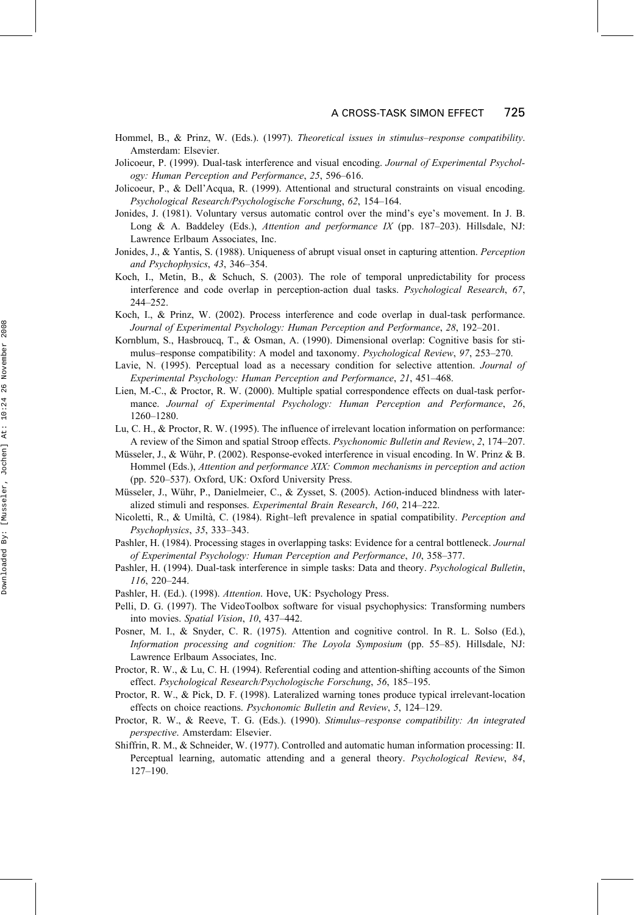- Hommel, B., & Prinz, W. (Eds.). (1997). Theoretical issues in stimulus–response compatibility. Amsterdam: Elsevier.
- Jolicoeur, P. (1999). Dual-task interference and visual encoding. Journal of Experimental Psychology: Human Perception and Performance, 25, 596-616.
- Jolicoeur, P., & Dell'Acqua, R. (1999). Attentional and structural constraints on visual encoding. Psychological Research/Psychologische Forschung, 62, 154-164.
- Jonides, J. (1981). Voluntary versus automatic control over the mind's eye's movement. In J. B. Long & A. Baddeley (Eds.), Attention and performance IX (pp. 187-203). Hillsdale, NJ: Lawrence Erlbaum Associates, Inc.
- Jonides, J., & Yantis, S. (1988). Uniqueness of abrupt visual onset in capturing attention. Perception and Psychophysics, 43, 346-354.
- Koch, I., Metin, B., & Schuch, S. (2003). The role of temporal unpredictability for process interference and code overlap in perception-action dual tasks. Psychological Research, 67, 244±252.
- Koch, I., & Prinz, W. (2002). Process interference and code overlap in dual-task performance. Journal of Experimental Psychology: Human Perception and Performance, 28, 192-201.
- Kornblum, S., Hasbroucq, T., & Osman, A. (1990). Dimensional overlap: Cognitive basis for stimulus-response compatibility: A model and taxonomy. Psychological Review, 97, 253-270.
- Lavie, N. (1995). Perceptual load as a necessary condition for selective attention. Journal of Experimental Psychology: Human Perception and Performance, 21, 451-468.
- Lien, M.-C., & Proctor, R. W. (2000). Multiple spatial correspondence effects on dual-task performance. Journal of Experimental Psychology: Human Perception and Performance, 26, 1260±1280.
- Lu, C. H., & Proctor, R. W. (1995). The influence of irrelevant location information on performance: A review of the Simon and spatial Stroop effects. Psychonomic Bulletin and Review, 2, 174–207.
- Müsseler, J., & Wühr, P. (2002). Response-evoked interference in visual encoding. In W. Prinz & B. Hommel (Eds.), Attention and performance XIX: Common mechanisms in perception and action (pp. 520-537). Oxford, UK: Oxford University Press.
- Müsseler, J., Wühr, P., Danielmeier, C., & Zysset, S. (2005). Action-induced blindness with lateralized stimuli and responses. Experimental Brain Research, 160, 214-222.
- Nicoletti, R., & Umiltà, C. (1984). Right-left prevalence in spatial compatibility. *Perception and* Psychophysics, 35, 333-343.
- Pashler, H. (1984). Processing stages in overlapping tasks: Evidence for a central bottleneck. Journal of Experimental Psychology: Human Perception and Performance, 10, 358-377.
- Pashler, H. (1994). Dual-task interference in simple tasks: Data and theory. Psychological Bulletin, 116, 220–244.
- Pashler, H. (Ed.). (1998). Attention. Hove, UK: Psychology Press.
- Pelli, D. G. (1997). The VideoToolbox software for visual psychophysics: Transforming numbers into movies. Spatial Vision, 10, 437-442.
- Posner, M. I., & Snyder, C. R. (1975). Attention and cognitive control. In R. L. Solso (Ed.), Information processing and cognition: The Loyola Symposium (pp. 55-85). Hillsdale, NJ: Lawrence Erlbaum Associates, Inc.
- Proctor, R. W., & Lu, C. H. (1994). Referential coding and attention-shifting accounts of the Simon effect. Psychological Research/Psychologische Forschung, 56, 185-195.
- Proctor, R. W., & Pick, D. F. (1998). Lateralized warning tones produce typical irrelevant-location effects on choice reactions. Psychonomic Bulletin and Review, 5, 124-129.
- Proctor, R. W., & Reeve, T. G. (Eds.). (1990). Stimulus-response compatibility: An integrated perspective. Amsterdam: Elsevier.
- Shiffrin, R. M., & Schneider, W. (1977). Controlled and automatic human information processing: II. Perceptual learning, automatic attending and a general theory. Psychological Review, 84, 127±190.